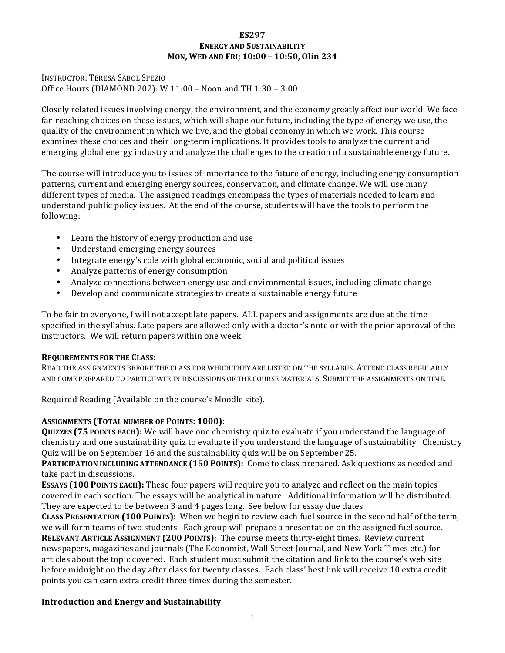## **ES297 ENERGY AND SUSTAINABILITY MON, WED AND FRI; 10:00 – 10:50, Olin 234**

INSTRUCTOR: TERESA SABOL SPEZIO Office Hours (DIAMOND 202): W  $11:00 -$  Noon and TH  $1:30 - 3:00$ 

Closely related issues involving energy, the environment, and the economy greatly affect our world. We face far-reaching choices on these issues, which will shape our future, including the type of energy we use, the quality of the environment in which we live, and the global economy in which we work. This course examines these choices and their long-term implications. It provides tools to analyze the current and emerging global energy industry and analyze the challenges to the creation of a sustainable energy future.

The course will introduce you to issues of importance to the future of energy, including energy consumption patterns, current and emerging energy sources, conservation, and climate change. We will use many different types of media. The assigned readings encompass the types of materials needed to learn and understand public policy issues. At the end of the course, students will have the tools to perform the following:

- Learn the history of energy production and use
- Understand emerging energy sources
- Integrate energy's role with global economic, social and political issues
- Analyze patterns of energy consumption
- Analyze connections between energy use and environmental issues, including climate change
- Develop and communicate strategies to create a sustainable energy future

To be fair to everyone, I will not accept late papers. ALL papers and assignments are due at the time specified in the syllabus. Late papers are allowed only with a doctor's note or with the prior approval of the instructors. We will return papers within one week.

## **REQUIREMENTS FOR THE CLASS:**

READ THE ASSIGNMENTS BEFORE THE CLASS FOR WHICH THEY ARE LISTED ON THE SYLLABUS. ATTEND CLASS REGULARLY AND COME PREPARED TO PARTICIPATE IN DISCUSSIONS OF THE COURSE MATERIALS. SUBMIT THE ASSIGNMENTS ON TIME.

Required Reading (Available on the course's Moodle site).

## **ASSIGNMENTS (TOTAL NUMBER OF POINTS: 1000):**

**QUIZZES** (75 POINTS EACH): We will have one chemistry quiz to evaluate if you understand the language of chemistry and one sustainability quiz to evaluate if you understand the language of sustainability. Chemistry Quiz will be on September 16 and the sustainability quiz will be on September 25.

**PARTICIPATION INCLUDING ATTENDANCE (150 POINTS):** Come to class prepared. Ask questions as needed and take part in discussions.

**ESSAYS** (100 POINTS EACH): These four papers will require you to analyze and reflect on the main topics covered in each section. The essays will be analytical in nature. Additional information will be distributed. They are expected to be between 3 and 4 pages long. See below for essay due dates.

**CLASS PRESENTATION (100 POINTS):** When we begin to review each fuel source in the second half of the term, we will form teams of two students. Each group will prepare a presentation on the assigned fuel source. **RELEVANT ARTICLE ASSIGNMENT (200 POINTS):** The course meets thirty-eight times. Review current newspapers, magazines and journals (The Economist, Wall Street Journal, and New York Times etc.) for articles about the topic covered. Each student must submit the citation and link to the course's web site before midnight on the day after class for twenty classes. Each class' best link will receive 10 extra credit points you can earn extra credit three times during the semester.

## **Introduction and Energy and Sustainability**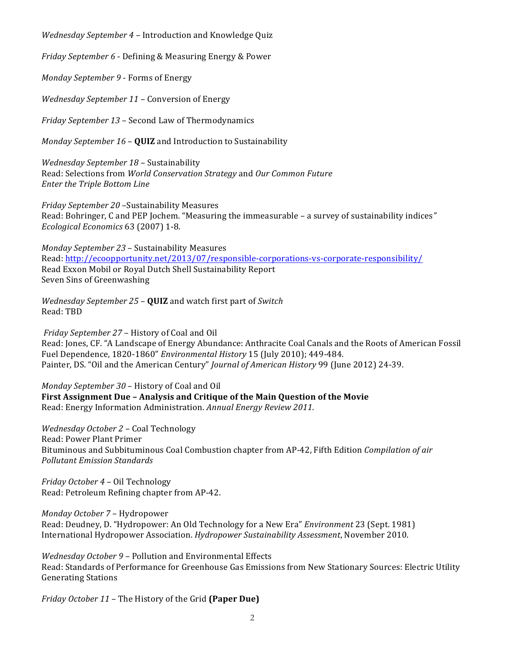*Wednesday September 4 –* Introduction and Knowledge Quiz

*Friday September* 6 - Defining & Measuring Energy & Power

*Monday September 9 - Forms of Energy* 

Wednesday September 11 - Conversion of Energy

*Friday September 13* – Second Law of Thermodynamics

*Monday September 16 – QUIZ* and Introduction to Sustainability

*Wednesday September 18* – Sustainability Read: Selections from *World Conservation Strategy* and *Our Common Future Enter the Triple Bottom Line* 

*Friday September 20* –Sustainability Measures Read: Bohringer, C and PEP Jochem. "Measuring the immeasurable - a survey of sustainability indices" *Ecological Economics* 63 (2007) 1-8.

*Monday September 23* – Sustainability Measures Read: http://ecoopportunity.net/2013/07/responsible-corporations-vs-corporate-responsibility/ Read Exxon Mobil or Royal Dutch Shell Sustainability Report Seven Sins of Greenwashing

*Wednesday September 25 - QUIZ* and watch first part of *Switch* Read: TBD

*Friday September 27 – History of Coal and Oil* Read: Jones, CF. "A Landscape of Energy Abundance: Anthracite Coal Canals and the Roots of American Fossil Fuel Dependence, 1820-1860" *Environmental History* 15 (July 2010); 449-484. Painter, DS. "Oil and the American Century" *Journal of American History* 99 (June 2012) 24-39.

*Monday September 30 – History of Coal and Oil* **First Assignment Due - Analysis and Critique of the Main Question of the Movie** Read: Energy Information Administration. Annual Energy Review 2011.

*Wednesday October 2* – Coal Technology Read: Power Plant Primer Bituminous and Subbituminous Coal Combustion chapter from AP-42, Fifth Edition *Compilation of air Pollutant Emission Standards*

*Friday October 4* – Oil Technology Read: Petroleum Refining chapter from AP-42.

*Monday October 7* – Hydropower Read: Deudney, D. "Hydropower: An Old Technology for a New Era" *Environment* 23 (Sept. 1981) International Hydropower Association. *Hydropower Sustainability Assessment*, November 2010.

*Wednesday October* 9 – Pollution and Environmental Effects Read: Standards of Performance for Greenhouse Gas Emissions from New Stationary Sources: Electric Utility Generating Stations

*Friday October 11* – The History of the Grid **(Paper Due)**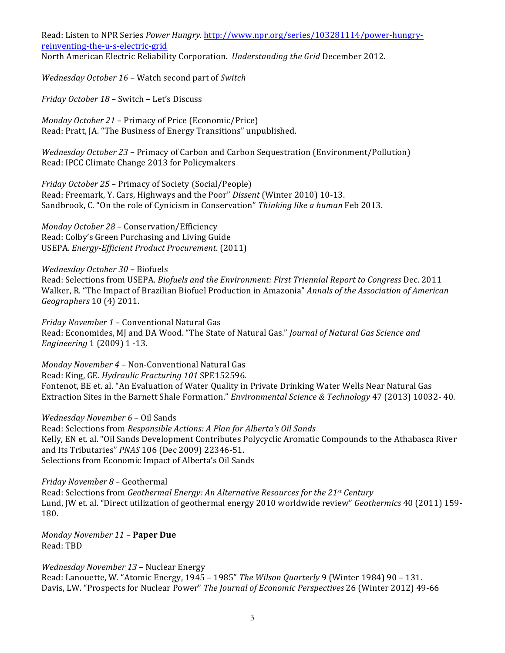Read: Listen to NPR Series *Power Hungry*. http://www.npr.org/series/103281114/power-hungryreinventing-the-u-s-electric-grid North American Electric Reliability Corporation. *Understanding the Grid* December 2012.

*Wednesday October 16* – Watch second part of *Switch*

*Friday October 18 - Switch - Let's Discuss* 

*Monday October 21 – Primacy of Price (Economic/Price)* Read: Pratt, JA. "The Business of Energy Transitions" unpublished.

*Wednesday October 23 – Primacy of Carbon and Carbon Sequestration (Environment/Pollution)* Read: IPCC Climate Change 2013 for Policymakers

*Friday October 25 – Primacy of Society (Social/People)* Read: Freemark, Y. Cars, Highways and the Poor" Dissent (Winter 2010) 10-13. Sandbrook, C. "On the role of Cynicism in Conservation" *Thinking like a human* Feb 2013.

*Monday October 28* – Conservation/Efficiency Read: Colby's Green Purchasing and Living Guide USEPA. *Energy-Efficient Product Procurement*. (2011)

*Wednesday October 30* – Biofuels Read: Selections from USEPA. *Biofuels and the Environment: First Triennial Report to Congress Dec.* 2011 Walker, R. "The Impact of Brazilian Biofuel Production in Amazonia" *Annals of the Association of American Geographers* 10 (4) 2011.

*Friday November 1 - Conventional Natural Gas* Read: Economides, MJ and DA Wood. "The State of Natural Gas." *Journal of Natural Gas Science and Engineering* 1 (2009) 1 -13.

*Monday November 4 - Non-Conventional Natural Gas* Read: King, GE. *Hydraulic Fracturing* 101 SPE152596. Fontenot, BE et. al. "An Evaluation of Water Quality in Private Drinking Water Wells Near Natural Gas Extraction Sites in the Barnett Shale Formation." *Environmental Science & Technology* 47 (2013) 10032- 40.

*Wednesday November 6* – Oil Sands Read: Selections from *Responsible Actions: A Plan for Alberta's Oil Sands* Kelly, EN et. al. "Oil Sands Development Contributes Polycyclic Aromatic Compounds to the Athabasca River and Its Tributaries" *PNAS* 106 (Dec 2009) 22346-51. Selections from Economic Impact of Alberta's Oil Sands

*Friday November 8* – Geothermal Read: Selections from *Geothermal Energy: An Alternative Resources for the 21<sup>st</sup> Century* Lund, JW et. al. "Direct utilization of geothermal energy 2010 worldwide review" *Geothermics* 40 (2011) 159-180.

*Monday November 11* – **Paper Due** Read: TBD

Wednesday November 13 - Nuclear Energy Read: Lanouette, W. "Atomic Energy, 1945 - 1985" The Wilson Quarterly 9 (Winter 1984) 90 - 131. Davis, LW. "Prospects for Nuclear Power" The Journal of Economic Perspectives 26 (Winter 2012) 49-66